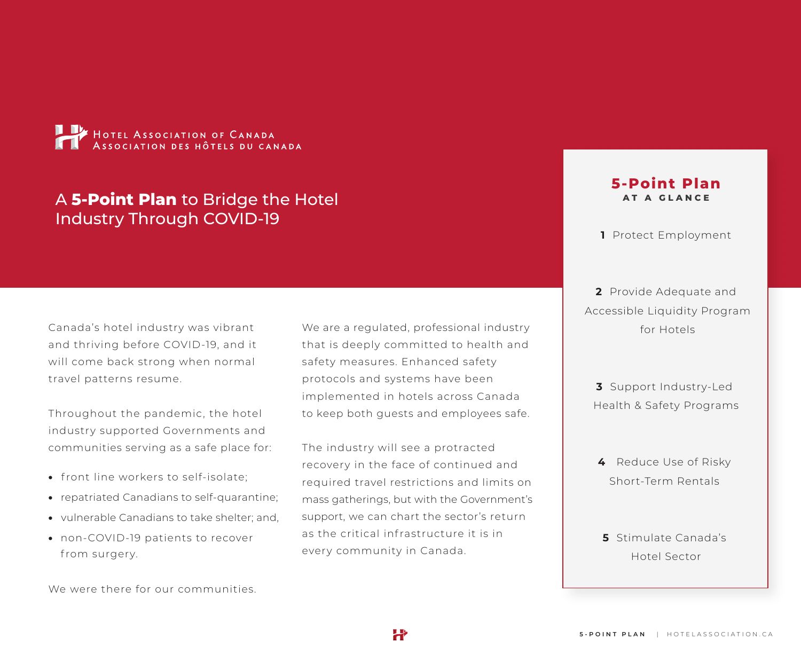

# A **5-Point Plan** to Bridge the Hotel Industry Through COVID-19

Canada's hotel industry was vibrant and thriving before COVID-19, and it will come back strong when normal travel patterns resume.

Throughout the pandemic, the hotel industry supported Governments and communities serving as a safe place for:

- front line workers to self-isolate;
- repatriated Canadians to self-quarantine;
- vulnerable Canadians to take shelter; and,
- non-COVID-19 patients to recover from surgery.

We were there for our communities.

We are a regulated, professional industry that is deeply committed to health and safety measures. Enhanced safety protocols and systems have been implemented in hotels across Canada to keep both guests and employees safe.

The industry will see a protracted recovery in the face of continued and required travel restrictions and limits on mass gatherings, but with the Government's support, we can chart the sector's return as the critical infrastructure it is in every community in Canada.

H

### **5-Point Plan AT A GLANCE**

**1** Protect Employment

**2** Provide Adequate and Accessible Liquidity Program for Hotels

**3** Support Industry-Led Health & Safety Programs

- **4** Reduce Use of Risky Short-Term Rentals
- **5** Stimulate Canada's Hotel Sector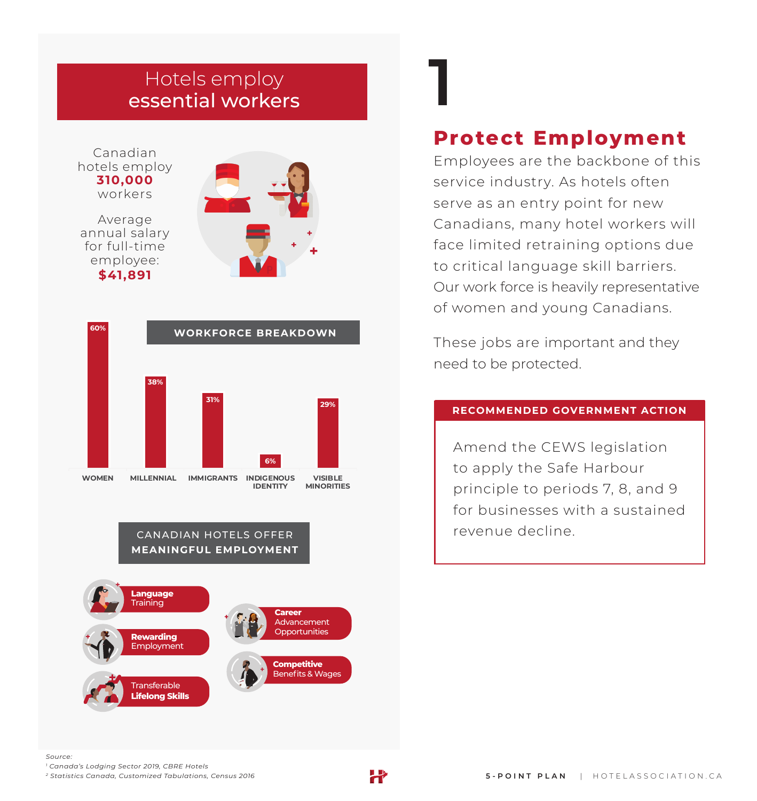# **1** Hotels employ essential workers

Canadian hotels employ **310,000** workers

Average annual salary for full-time employee: **\$41,891**





#### CANADIAN HOTELS OFFER **MEANINGFUL EMPLOYMENT**



# **Protect Employment**

Employees are the backbone of this service industry. As hotels often serve as an entry point for new Canadians, many hotel workers will face limited retraining options due to critical language skill barriers. Our work force is heavily representative of women and young Canadians.

These jobs are important and they need to be protected.

#### **RECOMMENDED GOVERNMENT ACTION**

Amend the CEWS legislation to apply the Safe Harbour principle to periods 7, 8, and 9 for businesses with a sustained revenue decline.

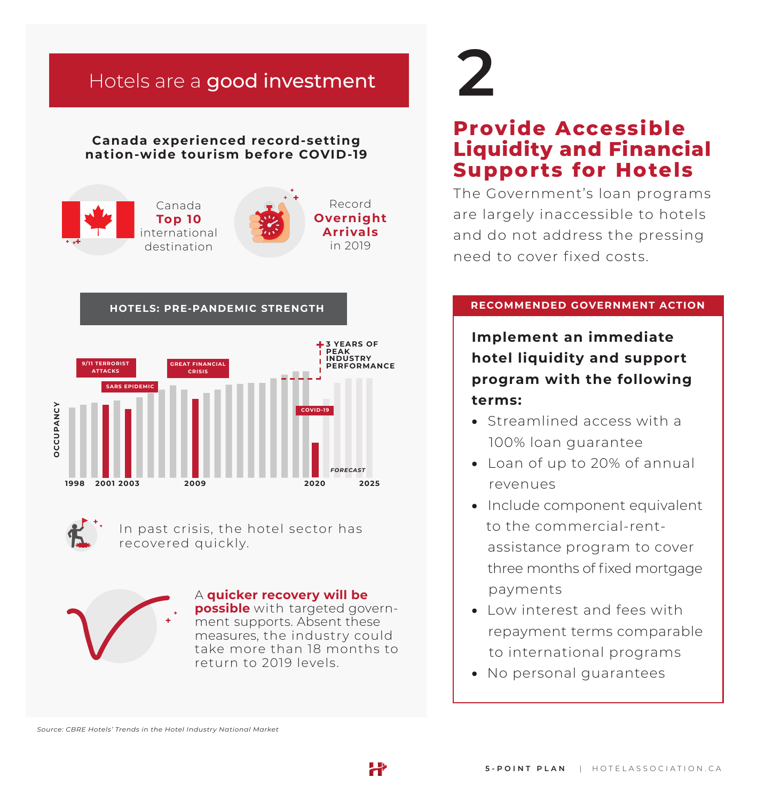# Hotels are a good investment

### **Canada experienced record-setting nation-wide tourism before COVID-19**







In past crisis, the hotel sector has recovered quickly.



A **quicker recovery will be possible** with targeted government supports. Absent these measures, the industry could take more than 18 months to return to 2019 levels.

# **2**

# **Provide Accessible Liquidity and Financial Supports for Hotels**

The Government's loan programs are largely inaccessible to hotels and do not address the pressing need to cover fixed costs.

### **RECOMMENDED GOVERNMENT ACTION**

**Implement an immediate hotel liquidity and support program with the following terms:**

- Streamlined access with a 100% loan guarantee
- Loan of up to 20% of annual revenues
- Include component equivalent to the commercial-rent assistance program to cover three months of fixed mortgage payments
- Low interest and fees with repayment terms comparable to international programs
- No personal guarantees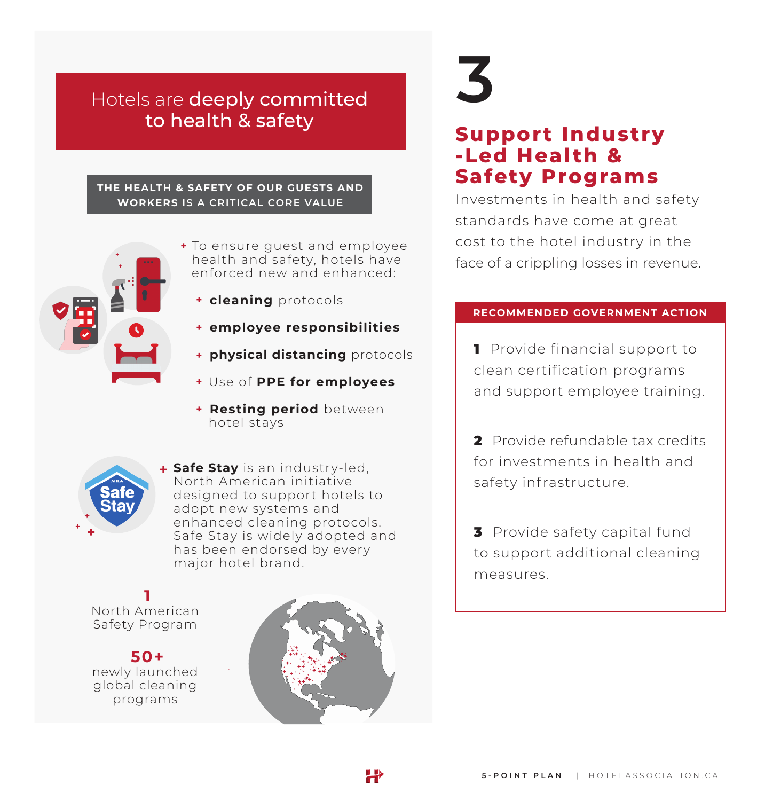# Hotels are deeply committed to health & safety

#### **THE HEALTH & SAFETY OF OUR GUESTS AND WORKERS IS A CRITICAL CORE VALUE**



- To ensure guest and employee health and safety, hotels have enforced new and enhanced:
	- **cleaning** protocols
	- **employee responsibilities**
	- **physical distancing** protocols
	- Use of **PPE for employees**
	- **Resting period** between hotel stays



**Safe Stay** is an industry-led, North American initiative designed to support hotels to adopt new systems and enhanced cleaning protocols. Safe Stay is widely adopted and has been endorsed by every major hotel brand.

**1** North American Safety Program

**50+** newly launched global cleaning programs



X

# **3**

# **Support Industry -Led Health & Safety Programs**

Investments in health and safety standards have come at great cost to the hotel industry in the face of a crippling losses in revenue.

#### **RECOMMENDED GOVERNMENT ACTION**

**1** Provide financial support to clean certification programs and support employee training.

2 Provide refundable tax credits for investments in health and safety infrastructure.

**3** Provide safety capital fund to support additional cleaning measures.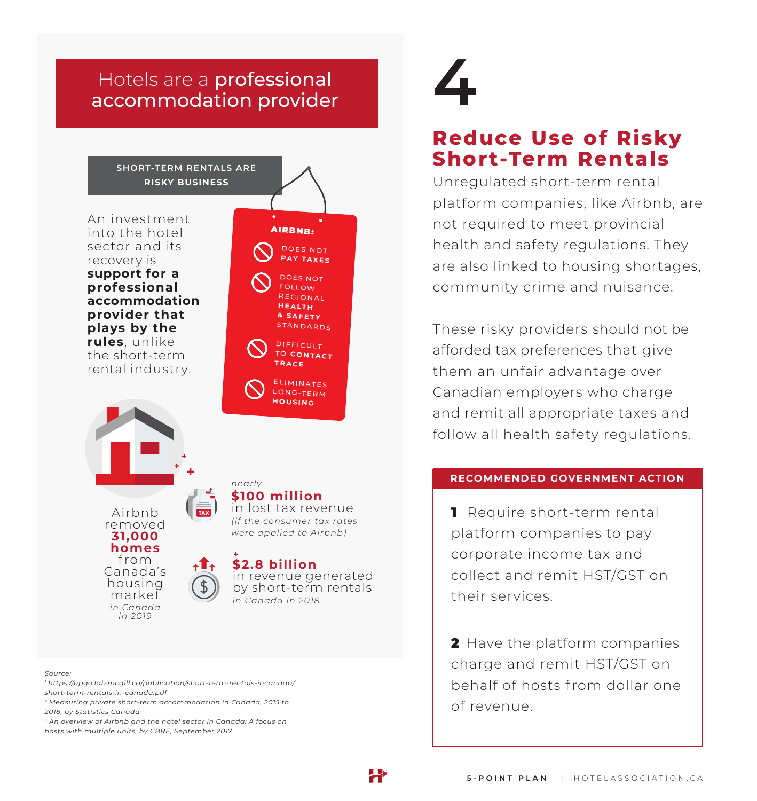# accommodation provider Hotels are a professional **4**



#### *Source:*

- *1 https://upgo.lab.mcgill.ca/publication/short-term-rentals-incanada/ short-term-rentals-in-canada.pdf*
- *2 Measuring private short-term accommodation in Canada, 2015 to 2018, by Statistics Canada*

*3 An overview of Airbnb and the hotel sector in Canada: A focus on hosts with multiple units, by CBRE, September 2017*

# **Reduce Use of Risky Short-Term Rentals**

Unregulated short-term rental platform companies, like Airbnb, are not required to meet provincial health and safety regulations. They are also linked to housing shortages, community crime and nuisance.

These risky providers should not be afforded tax preferences that give them an unfair advantage over Canadian employers who charge and remit all appropriate taxes and follow all health safety regulations.

#### **RECOMMENDED GOVERNMENT ACTION**

1 Require short-term rental platform companies to pay corporate income tax and collect and remit HST/GST on their services.

2 Have the platform companies charge and remit HST/GST on behalf of hosts from dollar one of revenue.